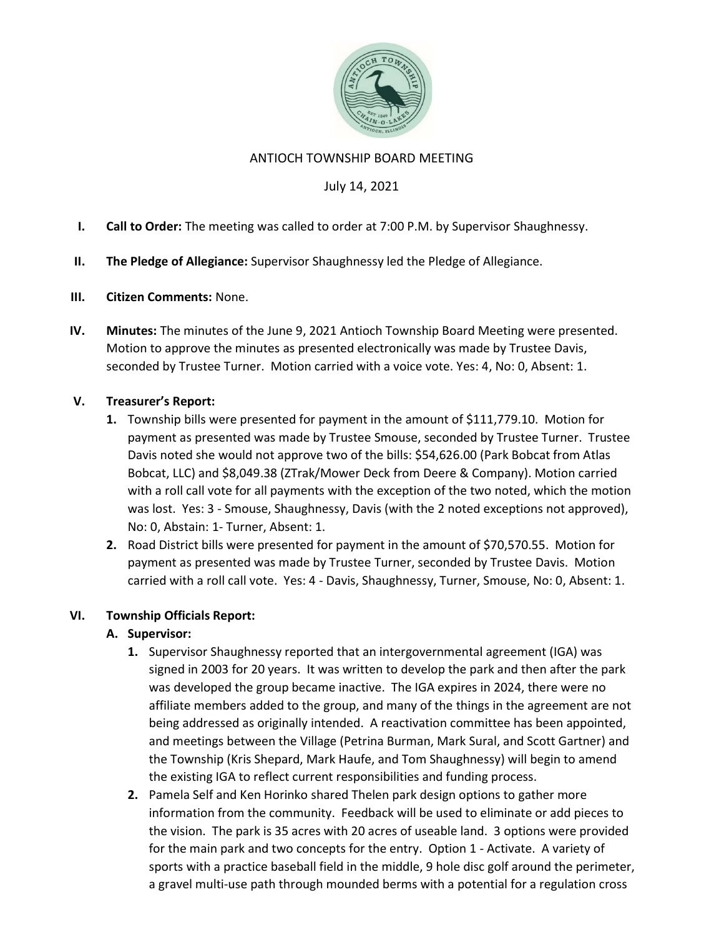

#### ANTIOCH TOWNSHIP BOARD MEETING

## July 14, 2021

- I. Call to Order: The meeting was called to order at 7:00 P.M. by Supervisor Shaughnessy.
- II. The Pledge of Allegiance: Supervisor Shaughnessy led the Pledge of Allegiance.
- III. Citizen Comments: None.
- IV. Minutes: The minutes of the June 9, 2021 Antioch Township Board Meeting were presented. Motion to approve the minutes as presented electronically was made by Trustee Davis, seconded by Trustee Turner. Motion carried with a voice vote. Yes: 4, No: 0, Absent: 1.

### V. Treasurer's Report:

- 1. Township bills were presented for payment in the amount of \$111,779.10. Motion for payment as presented was made by Trustee Smouse, seconded by Trustee Turner. Trustee Davis noted she would not approve two of the bills: \$54,626.00 (Park Bobcat from Atlas Bobcat, LLC) and \$8,049.38 (ZTrak/Mower Deck from Deere & Company). Motion carried with a roll call vote for all payments with the exception of the two noted, which the motion was lost. Yes: 3 - Smouse, Shaughnessy, Davis (with the 2 noted exceptions not approved), No: 0, Abstain: 1- Turner, Absent: 1.
- 2. Road District bills were presented for payment in the amount of \$70,570.55. Motion for payment as presented was made by Trustee Turner, seconded by Trustee Davis. Motion carried with a roll call vote. Yes: 4 - Davis, Shaughnessy, Turner, Smouse, No: 0, Absent: 1.

#### VI. Township Officials Report:

# A. Supervisor:

- 1. Supervisor Shaughnessy reported that an intergovernmental agreement (IGA) was signed in 2003 for 20 years. It was written to develop the park and then after the park was developed the group became inactive. The IGA expires in 2024, there were no affiliate members added to the group, and many of the things in the agreement are not being addressed as originally intended. A reactivation committee has been appointed, and meetings between the Village (Petrina Burman, Mark Sural, and Scott Gartner) and the Township (Kris Shepard, Mark Haufe, and Tom Shaughnessy) will begin to amend the existing IGA to reflect current responsibilities and funding process.
- 2. Pamela Self and Ken Horinko shared Thelen park design options to gather more information from the community. Feedback will be used to eliminate or add pieces to the vision. The park is 35 acres with 20 acres of useable land. 3 options were provided for the main park and two concepts for the entry. Option 1 - Activate. A variety of sports with a practice baseball field in the middle, 9 hole disc golf around the perimeter, a gravel multi-use path through mounded berms with a potential for a regulation cross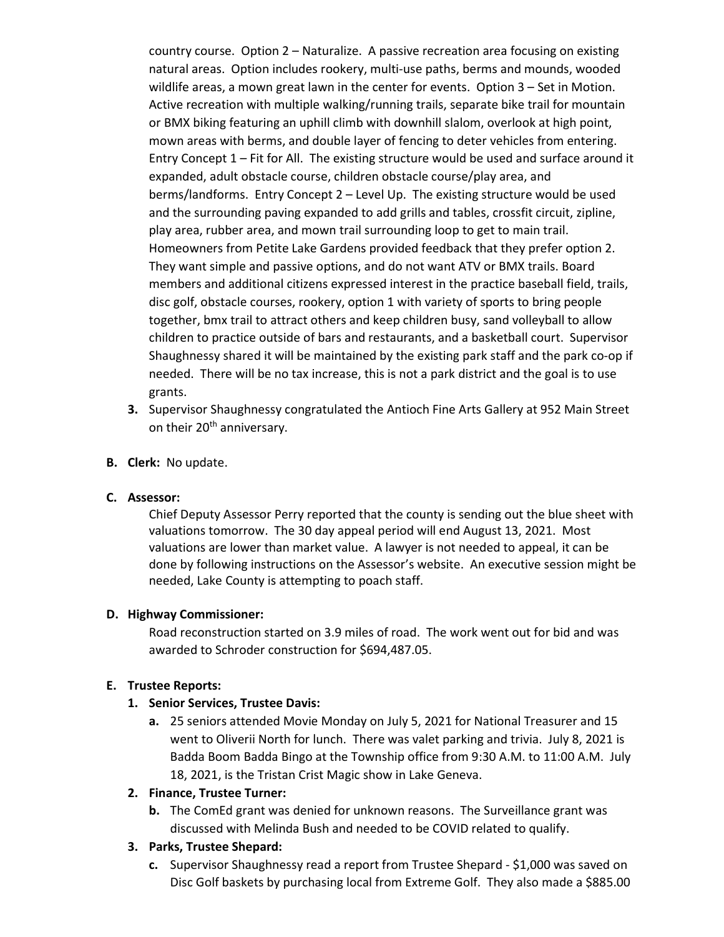country course. Option 2 – Naturalize. A passive recreation area focusing on existing natural areas. Option includes rookery, multi-use paths, berms and mounds, wooded wildlife areas, a mown great lawn in the center for events. Option 3 – Set in Motion. Active recreation with multiple walking/running trails, separate bike trail for mountain or BMX biking featuring an uphill climb with downhill slalom, overlook at high point, mown areas with berms, and double layer of fencing to deter vehicles from entering. Entry Concept 1 – Fit for All. The existing structure would be used and surface around it expanded, adult obstacle course, children obstacle course/play area, and berms/landforms. Entry Concept 2 – Level Up. The existing structure would be used and the surrounding paving expanded to add grills and tables, crossfit circuit, zipline, play area, rubber area, and mown trail surrounding loop to get to main trail. Homeowners from Petite Lake Gardens provided feedback that they prefer option 2. They want simple and passive options, and do not want ATV or BMX trails. Board members and additional citizens expressed interest in the practice baseball field, trails, disc golf, obstacle courses, rookery, option 1 with variety of sports to bring people together, bmx trail to attract others and keep children busy, sand volleyball to allow children to practice outside of bars and restaurants, and a basketball court. Supervisor Shaughnessy shared it will be maintained by the existing park staff and the park co-op if needed. There will be no tax increase, this is not a park district and the goal is to use grants.

- 3. Supervisor Shaughnessy congratulated the Antioch Fine Arts Gallery at 952 Main Street on their 20<sup>th</sup> anniversary.
- B. Clerk: No update.

#### C. Assessor:

Chief Deputy Assessor Perry reported that the county is sending out the blue sheet with valuations tomorrow. The 30 day appeal period will end August 13, 2021. Most valuations are lower than market value. A lawyer is not needed to appeal, it can be done by following instructions on the Assessor's website. An executive session might be needed, Lake County is attempting to poach staff.

#### D. Highway Commissioner:

Road reconstruction started on 3.9 miles of road. The work went out for bid and was awarded to Schroder construction for \$694,487.05.

#### E. Trustee Reports:

#### 1. Senior Services, Trustee Davis:

a. 25 seniors attended Movie Monday on July 5, 2021 for National Treasurer and 15 went to Oliverii North for lunch. There was valet parking and trivia. July 8, 2021 is Badda Boom Badda Bingo at the Township office from 9:30 A.M. to 11:00 A.M. July 18, 2021, is the Tristan Crist Magic show in Lake Geneva.

#### 2. Finance, Trustee Turner:

**b.** The ComEd grant was denied for unknown reasons. The Surveillance grant was discussed with Melinda Bush and needed to be COVID related to qualify.

#### 3. Parks, Trustee Shepard:

c. Supervisor Shaughnessy read a report from Trustee Shepard - \$1,000 was saved on Disc Golf baskets by purchasing local from Extreme Golf. They also made a \$885.00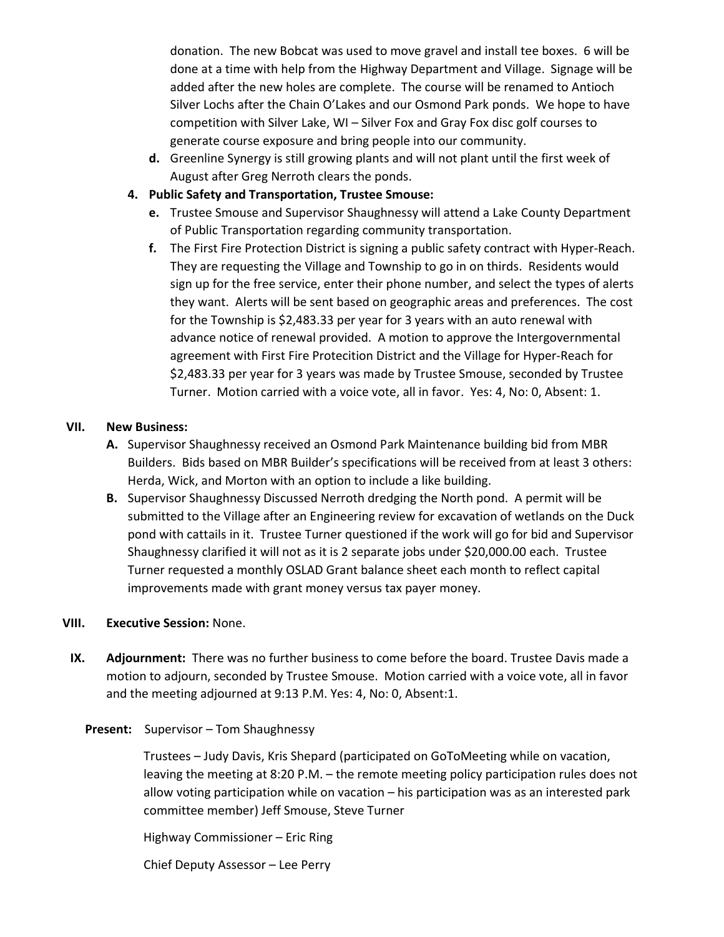donation. The new Bobcat was used to move gravel and install tee boxes. 6 will be done at a time with help from the Highway Department and Village. Signage will be added after the new holes are complete. The course will be renamed to Antioch Silver Lochs after the Chain O'Lakes and our Osmond Park ponds. We hope to have competition with Silver Lake, WI – Silver Fox and Gray Fox disc golf courses to generate course exposure and bring people into our community.

- d. Greenline Synergy is still growing plants and will not plant until the first week of August after Greg Nerroth clears the ponds.
- 4. Public Safety and Transportation, Trustee Smouse:
	- e. Trustee Smouse and Supervisor Shaughnessy will attend a Lake County Department of Public Transportation regarding community transportation.
	- f. The First Fire Protection District is signing a public safety contract with Hyper-Reach. They are requesting the Village and Township to go in on thirds. Residents would sign up for the free service, enter their phone number, and select the types of alerts they want. Alerts will be sent based on geographic areas and preferences. The cost for the Township is \$2,483.33 per year for 3 years with an auto renewal with advance notice of renewal provided. A motion to approve the Intergovernmental agreement with First Fire Protecition District and the Village for Hyper-Reach for \$2,483.33 per year for 3 years was made by Trustee Smouse, seconded by Trustee Turner. Motion carried with a voice vote, all in favor. Yes: 4, No: 0, Absent: 1.

#### VII. New Business:

- A. Supervisor Shaughnessy received an Osmond Park Maintenance building bid from MBR Builders. Bids based on MBR Builder's specifications will be received from at least 3 others: Herda, Wick, and Morton with an option to include a like building.
- B. Supervisor Shaughnessy Discussed Nerroth dredging the North pond. A permit will be submitted to the Village after an Engineering review for excavation of wetlands on the Duck pond with cattails in it. Trustee Turner questioned if the work will go for bid and Supervisor Shaughnessy clarified it will not as it is 2 separate jobs under \$20,000.00 each. Trustee Turner requested a monthly OSLAD Grant balance sheet each month to reflect capital improvements made with grant money versus tax payer money.

#### VIII. Executive Session: None.

IX. Adjournment: There was no further business to come before the board. Trustee Davis made a motion to adjourn, seconded by Trustee Smouse. Motion carried with a voice vote, all in favor and the meeting adjourned at 9:13 P.M. Yes: 4, No: 0, Absent:1.

#### Present: Supervisor – Tom Shaughnessy

Trustees – Judy Davis, Kris Shepard (participated on GoToMeeting while on vacation, leaving the meeting at 8:20 P.M. – the remote meeting policy participation rules does not allow voting participation while on vacation – his participation was as an interested park committee member) Jeff Smouse, Steve Turner

Highway Commissioner – Eric Ring

Chief Deputy Assessor – Lee Perry